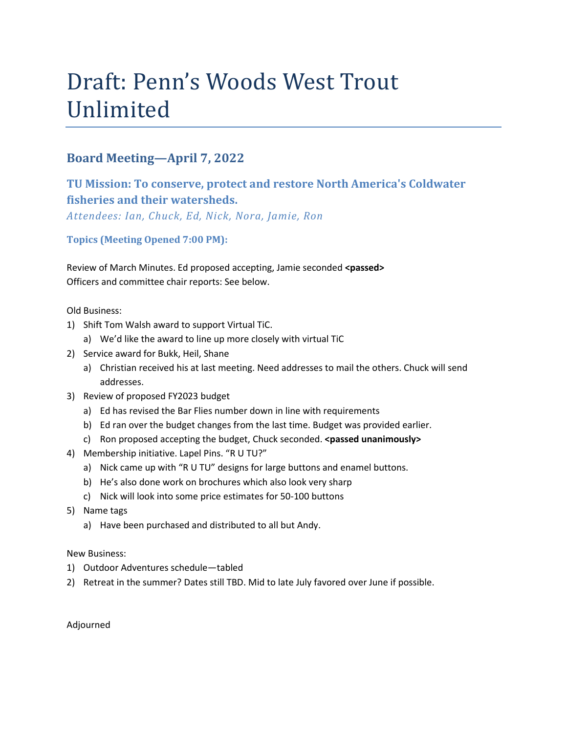# Draft: Penn's Woods West Trout Unlimited

## **Board Meeting—April 7, 2022**

# **TU Mission: To conserve, protect and restore North America's Coldwater fisheries and their watersheds.**

*Attendees: Ian, Chuck, Ed, Nick, Nora, Jamie, Ron*

**Topics (Meeting Opened 7:00 PM):**

Review of March Minutes. Ed proposed accepting, Jamie seconded **<passed>** Officers and committee chair reports: See below.

Old Business:

- 1) Shift Tom Walsh award to support Virtual TiC.
	- a) We'd like the award to line up more closely with virtual TiC
- 2) Service award for Bukk, Heil, Shane
	- a) Christian received his at last meeting. Need addresses to mail the others. Chuck will send addresses.
- 3) Review of proposed FY2023 budget
	- a) Ed has revised the Bar Flies number down in line with requirements
	- b) Ed ran over the budget changes from the last time. Budget was provided earlier.
	- c) Ron proposed accepting the budget, Chuck seconded. **<passed unanimously>**
- 4) Membership initiative. Lapel Pins. "R U TU?"
	- a) Nick came up with "R U TU" designs for large buttons and enamel buttons.
	- b) He's also done work on brochures which also look very sharp
	- c) Nick will look into some price estimates for 50-100 buttons
- 5) Name tags
	- a) Have been purchased and distributed to all but Andy.

New Business:

- 1) Outdoor Adventures schedule—tabled
- 2) Retreat in the summer? Dates still TBD. Mid to late July favored over June if possible.

Adjourned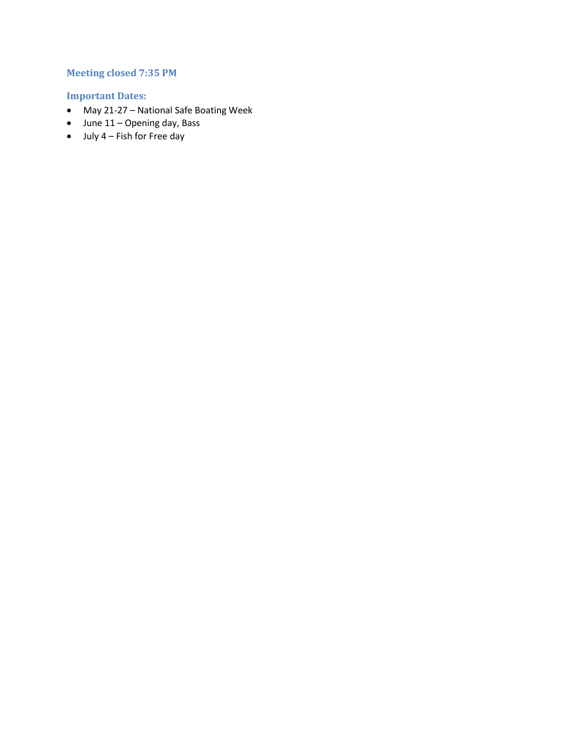## **Meeting closed 7:35 PM**

## **Important Dates:**

- May 21-27 National Safe Boating Week
- June 11 Opening day, Bass
- $\bullet$  July 4 Fish for Free day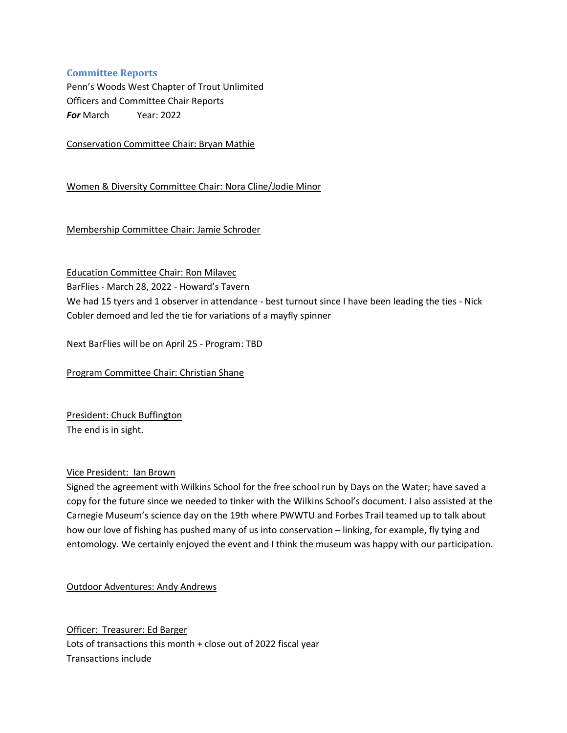### **Committee Reports**

Penn's Woods West Chapter of Trout Unlimited Officers and Committee Chair Reports *For* March Year: 2022

Conservation Committee Chair: Bryan Mathie

Women & Diversity Committee Chair: Nora Cline/Jodie Minor

Membership Committee Chair: Jamie Schroder

Education Committee Chair: Ron Milavec

BarFlies - March 28, 2022 - Howard's Tavern

We had 15 tyers and 1 observer in attendance - best turnout since I have been leading the ties - Nick Cobler demoed and led the tie for variations of a mayfly spinner

Next BarFlies will be on April 25 - Program: TBD

Program Committee Chair: Christian Shane

President: Chuck Buffington The end is in sight.

#### Vice President: Ian Brown

Signed the agreement with Wilkins School for the free school run by Days on the Water; have saved a copy for the future since we needed to tinker with the Wilkins School's document. I also assisted at the Carnegie Museum's science day on the 19th where PWWTU and Forbes Trail teamed up to talk about how our love of fishing has pushed many of us into conservation – linking, for example, fly tying and entomology. We certainly enjoyed the event and I think the museum was happy with our participation.

Outdoor Adventures: Andy Andrews

Officer: Treasurer: Ed Barger Lots of transactions this month + close out of 2022 fiscal year Transactions include